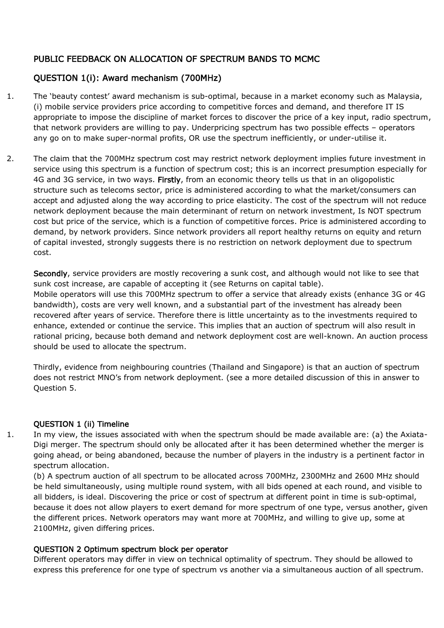# PUBLIC FEEDBACK ON ALLOCATION OF SPECTRUM BANDS TO MCMC

# QUESTION 1(i): Award mechanism (700MHz)

- 1. The 'beauty contest' award mechanism is sub-optimal, because in a market economy such as Malaysia, (i) mobile service providers price according to competitive forces and demand, and therefore IT IS appropriate to impose the discipline of market forces to discover the price of a key input, radio spectrum, that network providers are willing to pay. Underpricing spectrum has two possible effects – operators any go on to make super-normal profits, OR use the spectrum inefficiently, or under-utilise it.
- 2. The claim that the 700MHz spectrum cost may restrict network deployment implies future investment in service using this spectrum is a function of spectrum cost; this is an incorrect presumption especially for 4G and 3G service, in two ways. Firstly, from an economic theory tells us that in an oligopolistic structure such as telecoms sector, price is administered according to what the market/consumers can accept and adjusted along the way according to price elasticity. The cost of the spectrum will not reduce network deployment because the main determinant of return on network investment, Is NOT spectrum cost but price of the service, which is a function of competitive forces. Price is administered according to demand, by network providers. Since network providers all report healthy returns on equity and return of capital invested, strongly suggests there is no restriction on network deployment due to spectrum cost.

Secondly, service providers are mostly recovering a sunk cost, and although would not like to see that sunk cost increase, are capable of accepting it (see Returns on capital table). Mobile operators will use this 700MHz spectrum to offer a service that already exists (enhance 3G or 4G bandwidth), costs are very well known, and a substantial part of the investment has already been recovered after years of service. Therefore there is little uncertainty as to the investments required to enhance, extended or continue the service. This implies that an auction of spectrum will also result in rational pricing, because both demand and network deployment cost are well-known. An auction process should be used to allocate the spectrum.

Thirdly, evidence from neighbouring countries (Thailand and Singapore) is that an auction of spectrum does not restrict MNO's from network deployment. (see a more detailed discussion of this in answer to Question 5.

## QUESTION 1 (ii) Timeline

1. In my view, the issues associated with when the spectrum should be made available are: (a) the Axiata-Digi merger. The spectrum should only be allocated after it has been determined whether the merger is going ahead, or being abandoned, because the number of players in the industry is a pertinent factor in spectrum allocation.

(b) A spectrum auction of all spectrum to be allocated across 700MHz, 2300MHz and 2600 MHz should be held simultaneously, using multiple round system, with all bids opened at each round, and visible to all bidders, is ideal. Discovering the price or cost of spectrum at different point in time is sub-optimal, because it does not allow players to exert demand for more spectrum of one type, versus another, given the different prices. Network operators may want more at 700MHz, and willing to give up, some at 2100MHz, given differing prices.

## QUESTION 2 Optimum spectrum block per operator

Different operators may differ in view on technical optimality of spectrum. They should be allowed to express this preference for one type of spectrum vs another via a simultaneous auction of all spectrum.